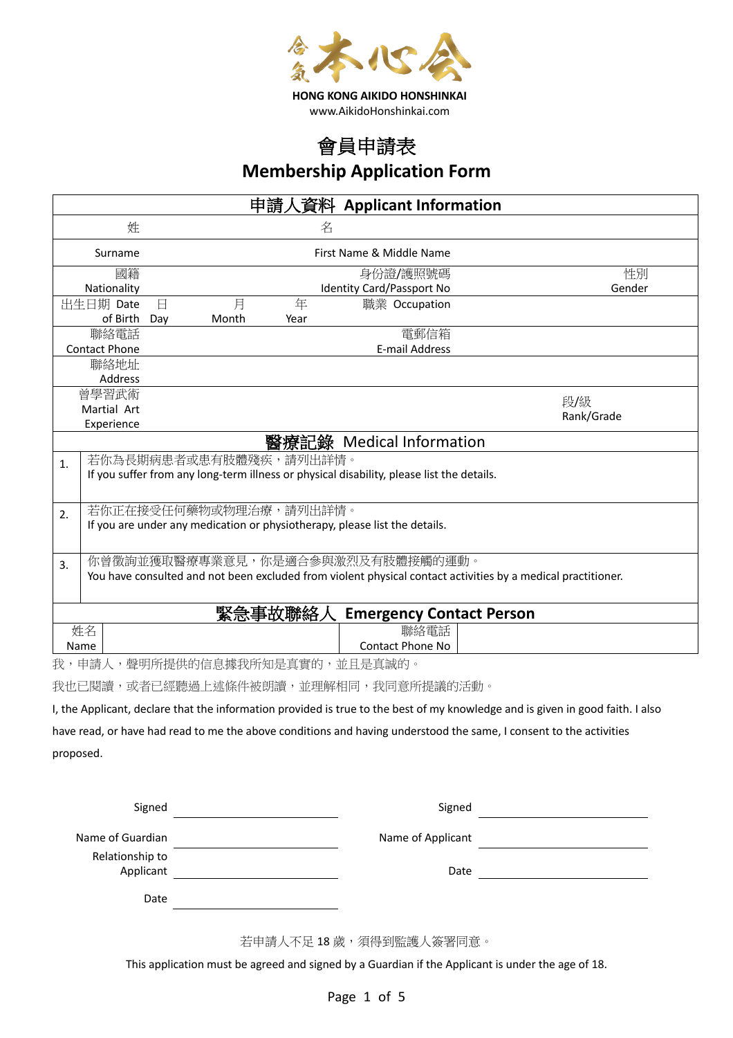

## 會員申請表 **Membership Application Form**

| 申請人資料 Applicant Information               |                          |                        |      |                                                                                           |                                                                                                              |
|-------------------------------------------|--------------------------|------------------------|------|-------------------------------------------------------------------------------------------|--------------------------------------------------------------------------------------------------------------|
| 姓                                         |                          |                        | 名    |                                                                                           |                                                                                                              |
| Surname                                   | First Name & Middle Name |                        |      |                                                                                           |                                                                                                              |
| 國籍                                        | 身份證/護照號碼<br>性別           |                        |      |                                                                                           |                                                                                                              |
| Nationality                               |                          |                        |      | <b>Identity Card/Passport No</b>                                                          | Gender                                                                                                       |
| 出生日期 Date                                 | $\boxminus$              | 月                      | 年    | 職業 Occupation                                                                             |                                                                                                              |
| of Birth                                  | Day                      | Month                  | Year |                                                                                           |                                                                                                              |
| 聯絡電話                                      |                          |                        |      | 電郵信箱                                                                                      |                                                                                                              |
| <b>Contact Phone</b>                      |                          |                        |      | <b>E-mail Address</b>                                                                     |                                                                                                              |
|                                           | 聯絡地址                     |                        |      |                                                                                           |                                                                                                              |
| Address                                   |                          |                        |      |                                                                                           |                                                                                                              |
| 曾學習武術                                     |                          |                        |      |                                                                                           | 段/級                                                                                                          |
| Martial Art                               |                          |                        |      |                                                                                           | Rank/Grade                                                                                                   |
| Experience                                |                          |                        |      |                                                                                           |                                                                                                              |
|                                           |                          |                        |      | 醫療記錄 Medical Information                                                                  |                                                                                                              |
| 1.                                        |                          | 若你為長期病患者或患有肢體殘疾,請列出詳情。 |      |                                                                                           |                                                                                                              |
|                                           |                          |                        |      | If you suffer from any long-term illness or physical disability, please list the details. |                                                                                                              |
|                                           |                          |                        |      |                                                                                           |                                                                                                              |
| 2.                                        | 若你正在接受任何藥物或物理治療,請列出詳情。   |                        |      |                                                                                           |                                                                                                              |
|                                           |                          |                        |      | If you are under any medication or physiotherapy, please list the details.                |                                                                                                              |
|                                           |                          |                        |      |                                                                                           |                                                                                                              |
|                                           |                          |                        |      | 你曾徵詢並獲取醫療專業意見,你是適合參與激烈及有肢體接觸的運動。                                                          |                                                                                                              |
| 3.                                        |                          |                        |      |                                                                                           | You have consulted and not been excluded from violent physical contact activities by a medical practitioner. |
|                                           |                          |                        |      |                                                                                           |                                                                                                              |
|                                           |                          |                        |      |                                                                                           |                                                                                                              |
| 緊急事故聯絡<br><b>Emergency Contact Person</b> |                          |                        |      |                                                                                           |                                                                                                              |
| 姓名                                        |                          |                        |      | 聯絡電話                                                                                      |                                                                                                              |
| Name                                      |                          |                        |      | <b>Contact Phone No</b>                                                                   |                                                                                                              |
| 我,申請人,聲明所提供的信息據我所知是真實的,並且是真誠的。            |                          |                        |      |                                                                                           |                                                                                                              |

我也已閱讀,或者已經聽過上述條件被朗讀,並理解相同,我同意所提議的活動。

I, the Applicant, declare that the information provided is true to the best of my knowledge and is given in good faith. I also have read, or have had read to me the above conditions and having understood the same, I consent to the activities proposed.

| Signed                       | Signed            |  |
|------------------------------|-------------------|--|
| Name of Guardian             | Name of Applicant |  |
| Relationship to<br>Applicant | Date              |  |
| Date                         |                   |  |

若申請人不足18歲,須得到監護人簽署同意。

This application must be agreed and signed by a Guardian if the Applicant is under the age of 18.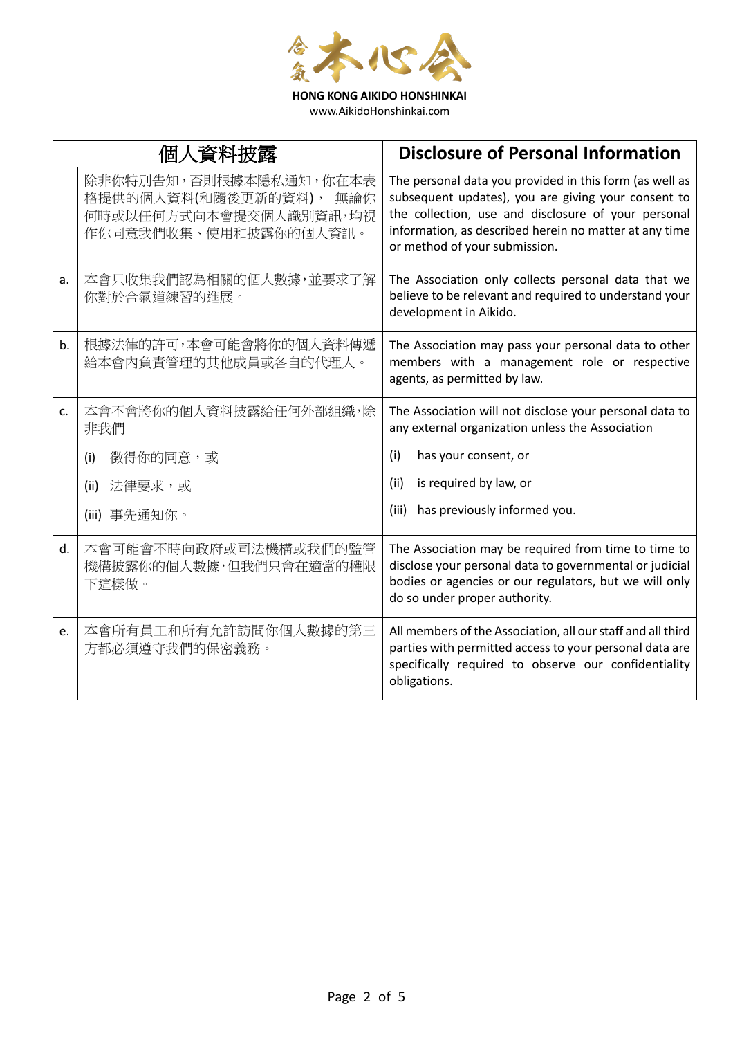

www.AikidoHonshinkai.com

|    | 個人資料披露                                                                                                  | <b>Disclosure of Personal Information</b>                                                                                                                                                                                                                        |
|----|---------------------------------------------------------------------------------------------------------|------------------------------------------------------------------------------------------------------------------------------------------------------------------------------------------------------------------------------------------------------------------|
|    | 除非你特別告知,否則根據本隱私通知,你在本表<br>格提供的個人資料(和隨後更新的資料),<br>無論你<br>何時或以任何方式向本會提交個人識別資訊,均視<br>作你同意我們收集、使用和披露你的個人資訊。 | The personal data you provided in this form (as well as<br>subsequent updates), you are giving your consent to<br>the collection, use and disclosure of your personal<br>information, as described herein no matter at any time<br>or method of your submission. |
| a. | 本會只收集我們認為相關的個人數據,並要求了解<br>你對於合氣道練習的進展。                                                                  | The Association only collects personal data that we<br>believe to be relevant and required to understand your<br>development in Aikido.                                                                                                                          |
| b. | 根據法律的許可,本會可能會將你的個人資料傳遞<br>給本會內負責管理的其他成員或各自的代理人。                                                         | The Association may pass your personal data to other<br>members with a management role or respective<br>agents, as permitted by law.                                                                                                                             |
| c. | 本會不會將你的個人資料披露給任何外部組織,除<br>非我們                                                                           | The Association will not disclose your personal data to<br>any external organization unless the Association                                                                                                                                                      |
|    | 徵得你的同意,或<br>(i)                                                                                         | has your consent, or<br>(i)                                                                                                                                                                                                                                      |
|    | 法律要求,或<br>(ii)                                                                                          | is required by law, or<br>(ii)                                                                                                                                                                                                                                   |
|    | (iii) 事先通知你。                                                                                            | has previously informed you.<br>(iii)                                                                                                                                                                                                                            |
| d. | 本會可能會不時向政府或司法機構或我們的監管<br>機構披露你的個人數據,但我們只會在適當的權限<br>下這樣做。                                                | The Association may be required from time to time to<br>disclose your personal data to governmental or judicial<br>bodies or agencies or our regulators, but we will only<br>do so under proper authority.                                                       |
| e. | 本會所有員工和所有允許訪問你個人數據的第三<br>方都必須遵守我們的保密義務。                                                                 | All members of the Association, all our staff and all third<br>parties with permitted access to your personal data are<br>specifically required to observe our confidentiality<br>obligations.                                                                   |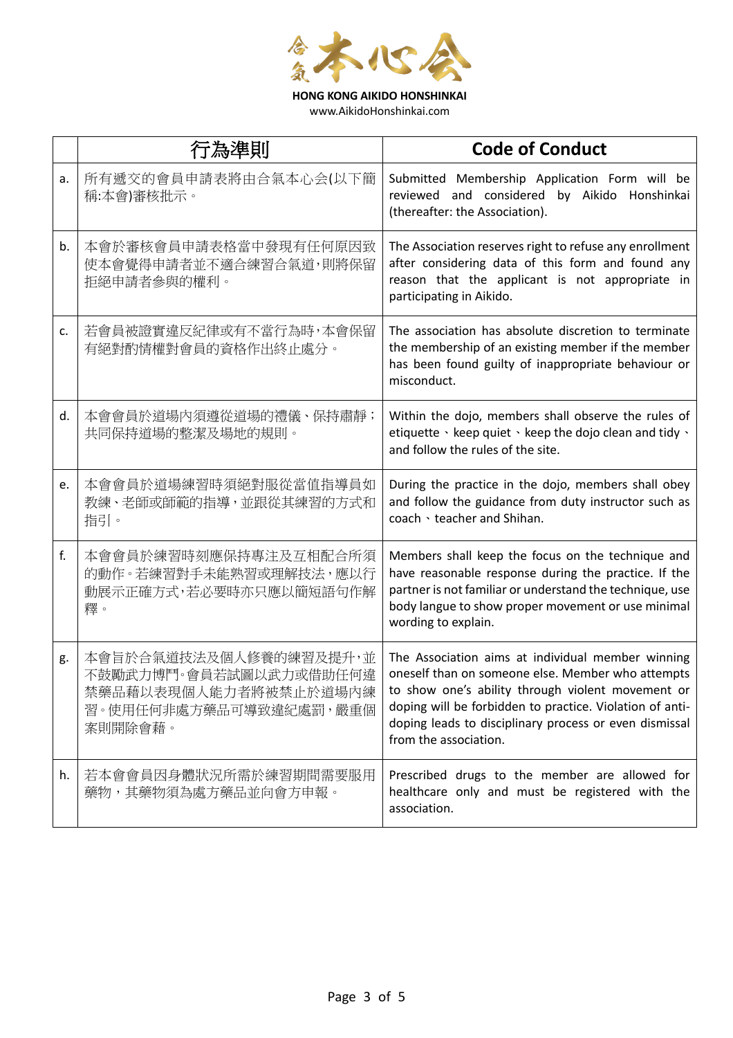

**HONG KONG AIKIDO HONSHINKAI** www.AikidoHonshinkai.com

|    | 行為準則                                                                                                           | <b>Code of Conduct</b>                                                                                                                                                                                                                                                                                     |
|----|----------------------------------------------------------------------------------------------------------------|------------------------------------------------------------------------------------------------------------------------------------------------------------------------------------------------------------------------------------------------------------------------------------------------------------|
| a. | 所有遞交的會員申請表將由合氣本心会(以下簡<br>稱:本會)審核批示。                                                                            | Submitted Membership Application Form will be<br>reviewed and considered by Aikido Honshinkai<br>(thereafter: the Association).                                                                                                                                                                            |
| b. | 本會於審核會員申請表格當中發現有任何原因致<br>使本會覺得申請者並不適合練習合氣道,則將保留<br>拒絕申請者參與的權利。                                                 | The Association reserves right to refuse any enrollment<br>after considering data of this form and found any<br>reason that the applicant is not appropriate in<br>participating in Aikido.                                                                                                                |
| c. | 若會員被證實違反紀律或有不當行為時,本會保留<br>有絕對酌情權對會員的資格作出終止處分。                                                                  | The association has absolute discretion to terminate<br>the membership of an existing member if the member<br>has been found guilty of inappropriate behaviour or<br>misconduct.                                                                                                                           |
| d. | 本會會員於道場內須遵從道場的禮儀、保持肅靜;<br>共同保持道場的整潔及場地的規則。                                                                     | Within the dojo, members shall observe the rules of<br>etiquette · keep quiet · keep the dojo clean and tidy ·<br>and follow the rules of the site.                                                                                                                                                        |
| e. | 本會會員於道場練習時須絕對服從當值指導員如<br>教練、老師或師範的指導,並跟從其練習的方式和<br>指引。                                                         | During the practice in the dojo, members shall obey<br>and follow the guidance from duty instructor such as<br>coach · teacher and Shihan.                                                                                                                                                                 |
| f. | 本會會員於練習時刻應保持專注及互相配合所須<br>的動作。若練習對手未能熟習或理解技法,應以行<br>動展示正確方式,若必要時亦只應以簡短語句作解<br>釋。                                | Members shall keep the focus on the technique and<br>have reasonable response during the practice. If the<br>partner is not familiar or understand the technique, use<br>body langue to show proper movement or use minimal<br>wording to explain.                                                         |
| g. | 本會旨於合氣道技法及個人修養的練習及提升,並<br>不鼓勵武力博鬥。會員若試圖以武力或借助任何違<br>禁藥品藉以表現個人能力者將被禁止於道場內練<br>習。使用任何非處方藥品可導致違紀處罰,嚴重個<br>案則開除會藉。 | The Association aims at individual member winning<br>oneself than on someone else. Member who attempts<br>to show one's ability through violent movement or<br>doping will be forbidden to practice. Violation of anti-<br>doping leads to disciplinary process or even dismissal<br>from the association. |
| h. | 若本會會員因身體狀況所需於練習期間需要服用<br>藥物,其藥物須為處方藥品並向會方申報。                                                                   | Prescribed drugs to the member are allowed for<br>healthcare only and must be registered with the<br>association.                                                                                                                                                                                          |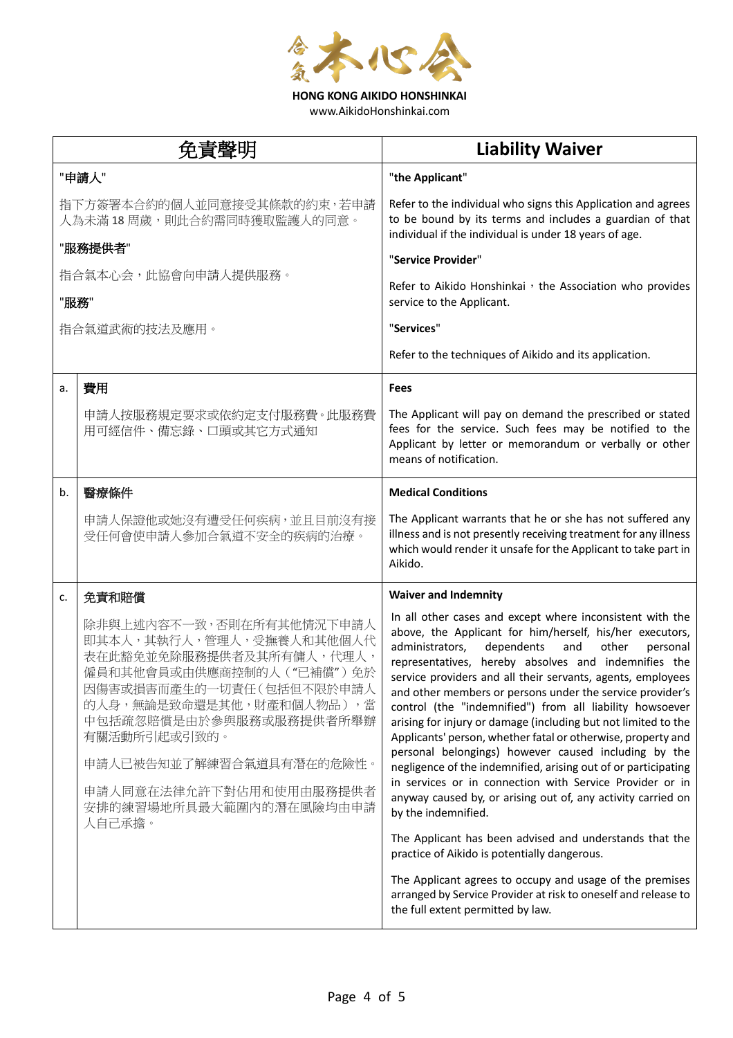

**HONG KONG AIKIDO HONSHINKAI** www.AikidoHonshinkai.com

|    | 免責聲明                                                                                                                                                                                                                                                                                                            | <b>Liability Waiver</b>                                                                                                                                                                                                                                                                                                                                                                                                                                                                                                                                                                                                                                                                                                                                                                                                                                                                                                                                                                                                                                                                                                         |
|----|-----------------------------------------------------------------------------------------------------------------------------------------------------------------------------------------------------------------------------------------------------------------------------------------------------------------|---------------------------------------------------------------------------------------------------------------------------------------------------------------------------------------------------------------------------------------------------------------------------------------------------------------------------------------------------------------------------------------------------------------------------------------------------------------------------------------------------------------------------------------------------------------------------------------------------------------------------------------------------------------------------------------------------------------------------------------------------------------------------------------------------------------------------------------------------------------------------------------------------------------------------------------------------------------------------------------------------------------------------------------------------------------------------------------------------------------------------------|
|    | "申請人"                                                                                                                                                                                                                                                                                                           | "the Applicant"                                                                                                                                                                                                                                                                                                                                                                                                                                                                                                                                                                                                                                                                                                                                                                                                                                                                                                                                                                                                                                                                                                                 |
|    | 指下方簽署本合約的個人並同意接受其條款的約束,若申請<br>人為未滿 18 周歲,則此合約需同時獲取監護人的同意。                                                                                                                                                                                                                                                       | Refer to the individual who signs this Application and agrees<br>to be bound by its terms and includes a guardian of that<br>individual if the individual is under 18 years of age.                                                                                                                                                                                                                                                                                                                                                                                                                                                                                                                                                                                                                                                                                                                                                                                                                                                                                                                                             |
|    | "服務提供者"                                                                                                                                                                                                                                                                                                         | "Service Provider"                                                                                                                                                                                                                                                                                                                                                                                                                                                                                                                                                                                                                                                                                                                                                                                                                                                                                                                                                                                                                                                                                                              |
|    | 指合氣本心会,此協會向申請人提供服務。<br>"服務"                                                                                                                                                                                                                                                                                     | Refer to Aikido Honshinkai, the Association who provides<br>service to the Applicant.                                                                                                                                                                                                                                                                                                                                                                                                                                                                                                                                                                                                                                                                                                                                                                                                                                                                                                                                                                                                                                           |
|    | 指合氣道武術的技法及應用。                                                                                                                                                                                                                                                                                                   | "Services"                                                                                                                                                                                                                                                                                                                                                                                                                                                                                                                                                                                                                                                                                                                                                                                                                                                                                                                                                                                                                                                                                                                      |
|    |                                                                                                                                                                                                                                                                                                                 | Refer to the techniques of Aikido and its application.                                                                                                                                                                                                                                                                                                                                                                                                                                                                                                                                                                                                                                                                                                                                                                                                                                                                                                                                                                                                                                                                          |
| a. | 費用                                                                                                                                                                                                                                                                                                              | <b>Fees</b>                                                                                                                                                                                                                                                                                                                                                                                                                                                                                                                                                                                                                                                                                                                                                                                                                                                                                                                                                                                                                                                                                                                     |
|    | 申請人按服務規定要求或依約定支付服務費。此服務費<br>用可經信件、備忘錄、口頭或其它方式通知                                                                                                                                                                                                                                                                 | The Applicant will pay on demand the prescribed or stated<br>fees for the service. Such fees may be notified to the<br>Applicant by letter or memorandum or verbally or other<br>means of notification.                                                                                                                                                                                                                                                                                                                                                                                                                                                                                                                                                                                                                                                                                                                                                                                                                                                                                                                         |
| b. | 醫療條件                                                                                                                                                                                                                                                                                                            | <b>Medical Conditions</b>                                                                                                                                                                                                                                                                                                                                                                                                                                                                                                                                                                                                                                                                                                                                                                                                                                                                                                                                                                                                                                                                                                       |
|    | 申請人保證他或她沒有遭受任何疾病,並且目前沒有接<br>受任何會使申請人參加合氣道不安全的疾病的治療。                                                                                                                                                                                                                                                             | The Applicant warrants that he or she has not suffered any<br>illness and is not presently receiving treatment for any illness<br>which would render it unsafe for the Applicant to take part in<br>Aikido.                                                                                                                                                                                                                                                                                                                                                                                                                                                                                                                                                                                                                                                                                                                                                                                                                                                                                                                     |
| c. | 免責和賠償                                                                                                                                                                                                                                                                                                           | <b>Waiver and Indemnity</b>                                                                                                                                                                                                                                                                                                                                                                                                                                                                                                                                                                                                                                                                                                                                                                                                                                                                                                                                                                                                                                                                                                     |
|    | 除非與上述內容不一致,否則在所有其他情況下申請人<br>即其本人,其執行人,管理人,受撫養人和其他個人代<br>表在此豁免並免除服務提供者及其所有傭人,代理人,<br>僱員和其他會員或由供應商控制的人("已補償")免於<br>因傷害或損害而產生的一切責任(包括但不限於申請人<br>的人身, 無論是致命還是其他, 財產和個人物品), 當<br>中包括疏忽賠償是由於參與服務或服務提供者所舉辦<br>有關活動所引起或引致的。<br>申請人已被告知並了解練習合氣道具有潛在的危險性。<br>申請人同意在法律允許下對佔用和使用由服務提供者<br>安排的練習場地所具最大範圍內的潛在風險均由申請<br>人自己承擔。 | In all other cases and except where inconsistent with the<br>above, the Applicant for him/herself, his/her executors,<br>administrators,<br>dependents<br>and<br>other<br>personal<br>representatives, hereby absolves and indemnifies the<br>service providers and all their servants, agents, employees<br>and other members or persons under the service provider's<br>control (the "indemnified") from all liability howsoever<br>arising for injury or damage (including but not limited to the<br>Applicants' person, whether fatal or otherwise, property and<br>personal belongings) however caused including by the<br>negligence of the indemnified, arising out of or participating<br>in services or in connection with Service Provider or in<br>anyway caused by, or arising out of, any activity carried on<br>by the indemnified.<br>The Applicant has been advised and understands that the<br>practice of Aikido is potentially dangerous.<br>The Applicant agrees to occupy and usage of the premises<br>arranged by Service Provider at risk to oneself and release to<br>the full extent permitted by law. |